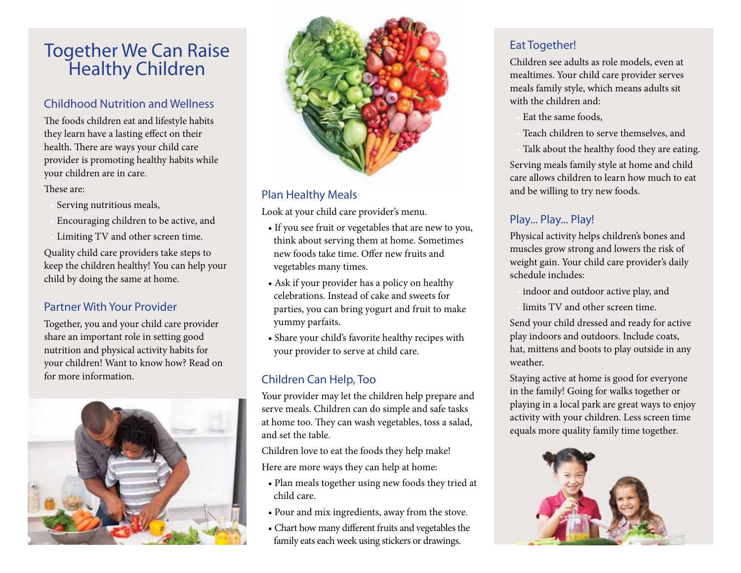### Together We Can Raise Healthy Children

#### Childhood Nutrition and Wellness

The foods children eat and lifestyle habits they learn have a lasting effect on their health. There are ways your child care provider is promoting healthy habits while your children are in care.

These are:

- Serving nutritious meals,
- Encouraging children to be active, and
- Limiting TV and other screen time.

Quality child care providers take steps to keep the children healthy! You can help your child by doing the same at home.

#### Partner With Your Provider

Together, you and your child care provider share an important role in setting good nutrition and physical activity habits for your children! Want to know how? Read on for more information.





#### Plan Healthy Meals

Look at your child care provider's menu.

- If you see fruit or vegetables that are new to you, think about serving them at home. Sometimes new foods take time. Offer new fruits and vegetables many times.
- Ask if your provider has a policy on healthy celebrations. Instead of cake and sweets for parties, you can bring yogurt and fruit to make yummy parfaits.
- Share your child's favorite healthy recipes with your provider to serve at child care.

#### Children Can Help, Too

Your provider may let the children help prepare and serve meals. Children can do simple and safe tasks at home too. They can wash vegetables, toss a salad, and set the table.

Children love to eat the foods they help make! Here are more ways they can help at home:

- Plan meals together using new foods they tried at child care.
- Pour and mix ingredients, away from the stove.
- Chart how many different fruits and vegetables the family eats each week using stickers or drawings.

#### Eat Together!

Children see adults as role models, even at mealtimes. Your child care provider serves meals family style, which means adults sit with the children and:

- Eat the same foods,
- Teach children to serve themselves, and
- Talk about the healthy food they are eating.

Serving meals family style at home and child care allows children to learn how much to eat and be willing to try new foods.

#### Play... Play... Play!

Physical activity helps children's bones and muscles grow strong and lowers the risk of weight gain. Your child care provider's daily schedule includes:

indoor and outdoor active play, and

• limits TV and other screen time.

Send your child dressed and ready for active play indoors and outdoors. Include coats, hat, mittens and boots to play outside in any weather.

Staying active at home is good for everyone in the family! Going for walks together or playing in a local park are great ways to enjoy activity with your children. Less screen time equals more quality family time together.

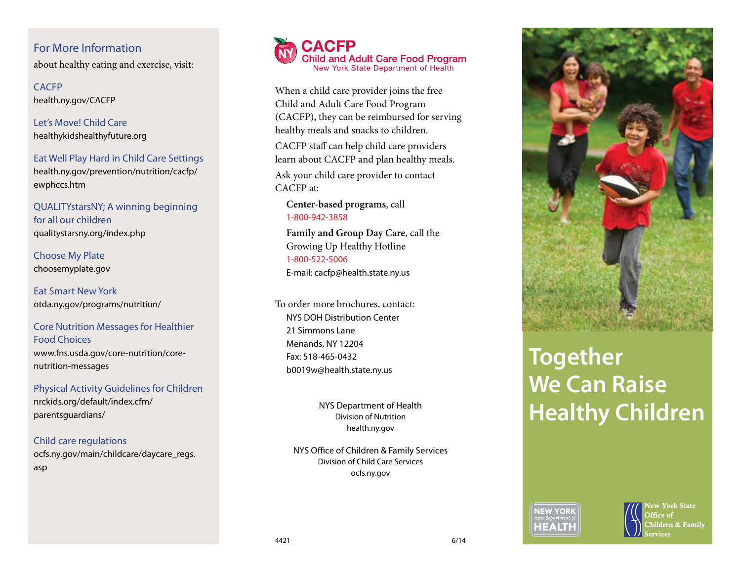For More Information

about healthy eating and exercise, visit:

CACFP [health.ny.gov/CACFP](http://health.ny.gov/cacfp)

Let's Move! Child Care [healthykidshealthyfuture.org](http://healthykidshealthyfuture.org)

[Eat Well Play Hard in Child Care Settings](http://health.ny.gov/prevention/nutrition/cacfp/ewphccs.htm) health.ny.gov/prevention/nutrition/cacfp/ ewphccs.htm

[QUALITYstarsNY; A winning beginning](http://qualitystarsny.org/index.php)  for all our children qualitystarsny.org/index.php

[Choose My Plate](http://choosemyplate.gov) choosemyplate.gov

Eat Smart New York [otda.ny.gov/programs/nutrition/](http://otda.ny.gov/programs/nutrition/)

[Core Nutrition Messages for Healthier](http://www.fns.usda.gov/core-nutrition/core-nutrition-messages)  Food Choices www.fns.usda.gov/core-nutrition/corenutrition-messages

[Physical Activity Guidelines for Children](http://nrckids.org/default/index.cfm/parentsguardians/) nrckids.org/default/index.cfm/ parentsguardians/

Child care regulations [ocfs.ny.gov/main/childcare/daycare\\_regs.](http://ocfs.ny.gov/main/childcare/daycare_regs.asp) asp



When a child care provider joins the free Child and Adult Care Food Program (CACFP), they can be reimbursed for serving healthy meals and snacks to children.

CACFP staff can help child care providers learn about CACFP and plan healthy meals. Ask your child care provider to contact CACFP at:

**Center-based programs**, call 1-800-942-3858

**Family and Group Day Care**, call the Growing Up Healthy Hotline 1-800-522-5006 E-mail: cacfp@health.state.ny.us

To order more brochures, contact: NYS DOH Distribution Center 21 Simmons Lane Menands, NY 12204 Fax: 518-465-0432 b0019w@health.state.ny.us

> NYS Department of Health Division of Nutrition health.ny.gov

NYS Office of Children & Family Services Division of Child Care Services ocfs.ny.gov



## **Together We Can Raise Healthy Children**





4421 6/14